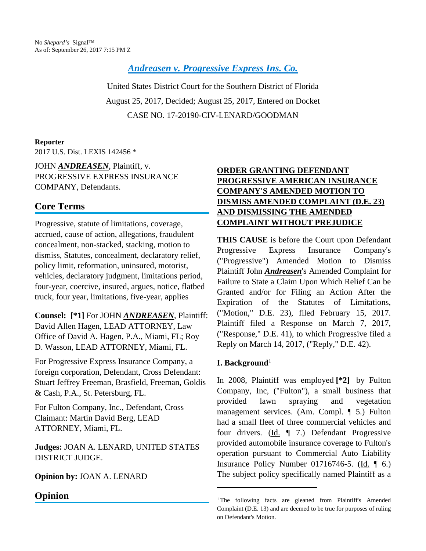*[Andreasen v. Progressive Express Ins. Co.](https://advance.lexis.comapi/document?collection=cases&id=urn:contentItem:5PD7-R6Y1-F04D-14P3-00000-00&context=)*

United States District Court for the Southern District of Florida August 25, 2017, Decided; August 25, 2017, Entered on Docket CASE NO. 17-20190-CIV-LENARD/GOODMAN

### **Reporter**

2017 U.S. Dist. LEXIS 142456 \*

JOHN *ANDREASEN*, Plaintiff, v. PROGRESSIVE EXPRESS INSURANCE COMPANY, Defendants.

# **Core Terms**

Progressive, statute of limitations, coverage, accrued, cause of action, allegations, fraudulent concealment, non-stacked, stacking, motion to dismiss, Statutes, concealment, declaratory relief, policy limit, reformation, uninsured, motorist, vehicles, declaratory judgment, limitations period, four-year, coercive, insured, argues, notice, flatbed truck, four year, limitations, five-year, applies

**Counsel: [\*1]** For JOHN *ANDREASEN*, Plaintiff: David Allen Hagen, LEAD ATTORNEY, Law Office of David A. Hagen, P.A., Miami, FL; Roy D. Wasson, LEAD ATTORNEY, Miami, FL.

For Progressive Express Insurance Company, a foreign corporation, Defendant, Cross Defendant: Stuart Jeffrey Freeman, Brasfield, Freeman, Goldis & Cash, P.A., St. Petersburg, FL.

For Fulton Company, Inc., Defendant, Cross Claimant: Martin David Berg, LEAD ATTORNEY, Miami, FL.

**Judges:** JOAN A. LENARD, UNITED STATES DISTRICT JUDGE.

## **Opinion by:** JOAN A. LENARD

## **Opinion**

## **ORDER GRANTING DEFENDANT PROGRESSIVE AMERICAN INSURANCE COMPANY'S AMENDED MOTION TO DISMISS AMENDED COMPLAINT (D.E. 23) AND DISMISSING THE AMENDED COMPLAINT WITHOUT PREJUDICE**

**THIS CAUSE** is before the Court upon Defendant Progressive Express Insurance Company's ("Progressive") Amended Motion to Dismiss Plaintiff John *Andreasen*'s Amended Complaint for Failure to State a Claim Upon Which Relief Can be Granted and/or for Filing an Action After the Expiration of the Statutes of Limitations, ("Motion," D.E. 23), filed February 15, 2017. Plaintiff filed a Response on March 7, 2017, ("Response," D.E. 41), to which Progressive filed a Reply on March 14, 2017, ("Reply," D.E. 42).

## **I. Background**<sup>1</sup>

In 2008, Plaintiff was employed **[\*2]** by Fulton Company, Inc, ("Fulton"), a small business that provided lawn spraying and vegetation management services. (Am. Compl. ¶ 5.) Fulton had a small fleet of three commercial vehicles and four drivers. (Id. ¶ 7.) Defendant Progressive provided automobile insurance coverage to Fulton's operation pursuant to Commercial Auto Liability Insurance Policy Number 01716746-5. (Id. ¶ 6.) The subject policy specifically named Plaintiff as a

<sup>&</sup>lt;sup>1</sup>The following facts are gleaned from Plaintiff's Amended Complaint (D.E. 13) and are deemed to be true for purposes of ruling on Defendant's Motion.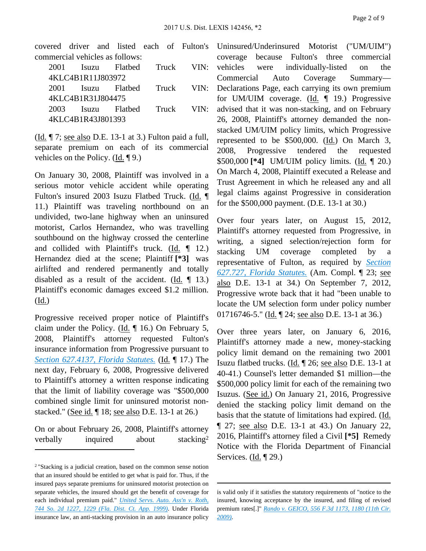covered driver and listed each of Fulton's commercial vehicles as follows:

|                   |                   | 2001 Isuzu Flatbed Truck VIN: |  |  |
|-------------------|-------------------|-------------------------------|--|--|
| 4KLC4B1R11J803972 |                   |                               |  |  |
|                   |                   | 2001 Isuzu Flatbed Truck VIN: |  |  |
| 4KLC4B1R31J804475 |                   |                               |  |  |
|                   |                   | 2003 Isuzu Flatbed Truck VIN: |  |  |
|                   | 4KLC4B1R43J801393 |                               |  |  |

(Id. ¶ 7; see also D.E. 13-1 at 3.) Fulton paid a full, separate premium on each of its commercial vehicles on the Policy.  $(\underline{Id}, \P \ 9)$ .

On January 30, 2008, Plaintiff was involved in a serious motor vehicle accident while operating Fulton's insured 2003 Isuzu Flatbed Truck. (Id. ¶ 11.) Plaintiff was traveling northbound on an undivided, two-lane highway when an uninsured motorist, Carlos Hernandez, who was travelling southbound on the highway crossed the centerline and collided with Plaintiff's truck. (Id. ¶ 12.) Hernandez died at the scene; Plaintiff **[\*3]** was airlifted and rendered permanently and totally disabled as a result of the accident. (Id.  $\P$  13.) Plaintiff's economic damages exceed \$1.2 million. (Id.)

Progressive received proper notice of Plaintiff's claim under the Policy. (Id. ¶ 16.) On February 5, 2008, Plaintiff's attorney requested Fulton's insurance information from Progressive pursuant to *[Section 627.4137, Florida Statutes.](https://advance.lexis.comapi/document?collection=statutes-legislation&id=urn:contentItem:5C24-MM11-6SKW-D4N6-00000-00&context=)* (Id. ¶ 17.) The next day, February 6, 2008, Progressive delivered to Plaintiff's attorney a written response indicating that the limit of liability coverage was "\$500,000 combined single limit for uninsured motorist nonstacked." (See id. ¶ 18; see also D.E. 13-1 at 26.)

On or about February 26, 2008, Plaintiff's attorney verbally inquired about stacking<sup>2</sup> Uninsured/Underinsured Motorist ("UM/UIM") coverage because Fulton's three commercial vehicles were individually-listed on the Commercial Auto Coverage Summary— Declarations Page, each carrying its own premium for UM/UIM coverage. (Id. ¶ 19.) Progressive advised that it was non-stacking, and on February 26, 2008, Plaintiff's attorney demanded the nonstacked UM/UIM policy limits, which Progressive represented to be \$500,000. (Id.) On March 3, 2008, Progressive tendered the requested \$500,000 **[\*4]** UM/UIM policy limits. (Id. ¶ 20.) On March 4, 2008, Plaintiff executed a Release and Trust Agreement in which he released any and all legal claims against Progressive in consideration for the \$500,000 payment. (D.E. 13-1 at 30.)

Over four years later, on August 15, 2012, Plaintiff's attorney requested from Progressive, in writing, a signed selection/rejection form for stacking UM coverage completed by a representative of Fulton, as required by *[Section](https://advance.lexis.comapi/document?collection=statutes-legislation&id=urn:contentItem:5G3D-DWY1-DXC8-03CG-00000-00&context=)  [627.727, Florida Statutes.](https://advance.lexis.comapi/document?collection=statutes-legislation&id=urn:contentItem:5G3D-DWY1-DXC8-03CG-00000-00&context=)* (Am. Compl. ¶ 23; see also D.E. 13-1 at 34.) On September 7, 2012, Progressive wrote back that it had "been unable to locate the UM selection form under policy number 01716746-5." (Id. 124; see also D.E. 13-1 at 36.)

Over three years later, on January 6, 2016, Plaintiff's attorney made a new, money-stacking policy limit demand on the remaining two 2001 Isuzu flatbed trucks. (Id. ¶ 26; see also D.E. 13-1 at 40-41.) Counsel's letter demanded \$1 million—the \$500,000 policy limit for each of the remaining two Isuzus. (See id.) On January 21, 2016, Progressive denied the stacking policy limit demand on the basis that the statute of limitations had expired. (Id. ¶ 27; see also D.E. 13-1 at 43.) On January 22, 2016, Plaintiff's attorney filed a Civil **[\*5]** Remedy Notice with the Florida Department of Financial Services. (Id. ¶ 29.)

<sup>2</sup>"Stacking is a judicial creation, based on the common sense notion that an insured should be entitled to get what is paid for. Thus, if the insured pays separate premiums for uninsured motorist protection on separate vehicles, the insured should get the benefit of coverage for each individual premium paid." *[United Servs. Auto. Ass'n v. Roth,](https://advance.lexis.comapi/document?collection=cases&id=urn:contentItem:3XVH-BFJ0-0039-4227-00000-00&context=)  [744 So. 2d 1227, 1229 \(Fla. Dist. Ct. App. 1999\)](https://advance.lexis.comapi/document?collection=cases&id=urn:contentItem:3XVH-BFJ0-0039-4227-00000-00&context=)*. Under Florida insurance law, an anti-stacking provision in an auto insurance policy

is valid only if it satisfies the statutory requirements of "notice to the insured, knowing acceptance by the insured, and filing of revised premium rates[.]" *[Rando v. GEICO, 556 F.3d 1173, 1180 \(11th Cir.](https://advance.lexis.comapi/document?collection=cases&id=urn:contentItem:4VJ1-36V0-TXFX-G20P-00000-00&context=)  [2009\)](https://advance.lexis.comapi/document?collection=cases&id=urn:contentItem:4VJ1-36V0-TXFX-G20P-00000-00&context=)*.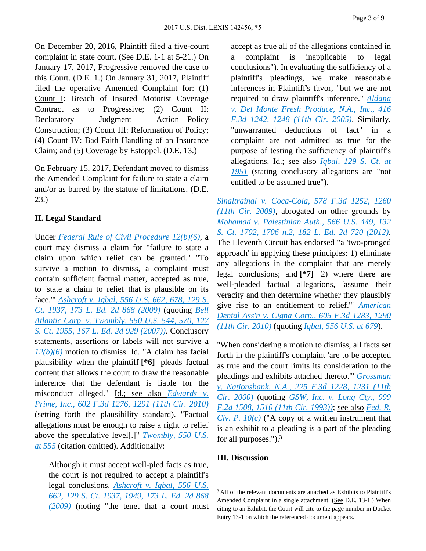On December 20, 2016, Plaintiff filed a five-count complaint in state court. (See D.E. 1-1 at 5-21.) On January 17, 2017, Progressive removed the case to this Court. (D.E. 1.) On January 31, 2017, Plaintiff filed the operative Amended Complaint for: (1) Count I: Breach of Insured Motorist Coverage Contract as to Progressive; (2) Count II: Declaratory Judgment Action—Policy Construction; (3) Count III: Reformation of Policy; (4) Count IV: Bad Faith Handling of an Insurance Claim; and (5) Coverage by Estoppel. (D.E. 13.)

On February 15, 2017, Defendant moved to dismiss the Amended Complaint for failure to state a claim and/or as barred by the statute of limitations. (D.E. 23.)

## **II. Legal Standard**

Under *[Federal Rule of Civil Procedure 12\(b\)\(6\)](https://advance.lexis.comapi/document?collection=statutes-legislation&id=urn:contentItem:5GYC-1WP1-6N19-F0YW-00000-00&context=)*, a court may dismiss a claim for "failure to state a claim upon which relief can be granted." "To survive a motion to dismiss, a complaint must contain sufficient factual matter, accepted as true, to 'state a claim to relief that is plausible on its face.'" *[Ashcroft v. Iqbal, 556 U.S. 662, 678, 129 S.](https://advance.lexis.comapi/document?collection=cases&id=urn:contentItem:4W9Y-4KS0-TXFX-1325-00000-00&context=)  [Ct. 1937, 173 L. Ed. 2d 868 \(2009\)](https://advance.lexis.comapi/document?collection=cases&id=urn:contentItem:4W9Y-4KS0-TXFX-1325-00000-00&context=)* (quoting *[Bell](https://advance.lexis.comapi/document?collection=cases&id=urn:contentItem:4NSN-8840-004C-002M-00000-00&context=)  [Atlantic Corp. v. Twombly, 550 U.S. 544, 570, 127](https://advance.lexis.comapi/document?collection=cases&id=urn:contentItem:4NSN-8840-004C-002M-00000-00&context=)  [S. Ct. 1955, 167 L. Ed. 2d 929 \(2007\)\)](https://advance.lexis.comapi/document?collection=cases&id=urn:contentItem:4NSN-8840-004C-002M-00000-00&context=)*. Conclusory statements, assertions or labels will not survive a *[12\(b\)\(6\)](https://advance.lexis.comapi/document?collection=statutes-legislation&id=urn:contentItem:5GYC-1WP1-6N19-F0YW-00000-00&context=)* motion to dismiss. Id. "A claim has facial plausibility when the plaintiff **[\*6]** pleads factual content that allows the court to draw the reasonable inference that the defendant is liable for the misconduct alleged." Id.; see also *[Edwards v.](https://advance.lexis.comapi/document?collection=cases&id=urn:contentItem:7Y6G-C1B0-YB0V-S089-00000-00&context=)  [Prime, Inc., 602 F.3d 1276, 1291 \(11th Cir. 2010\)](https://advance.lexis.comapi/document?collection=cases&id=urn:contentItem:7Y6G-C1B0-YB0V-S089-00000-00&context=)* (setting forth the plausibility standard). "Factual allegations must be enough to raise a right to relief above the speculative level[.]" *[Twombly, 550 U.S.](https://advance.lexis.comapi/document?collection=cases&id=urn:contentItem:4NSN-8840-004C-002M-00000-00&context=)  [at 555](https://advance.lexis.comapi/document?collection=cases&id=urn:contentItem:4NSN-8840-004C-002M-00000-00&context=)* (citation omitted). Additionally:

Although it must accept well-pled facts as true, the court is not required to accept a plaintiff's legal conclusions. *[Ashcroft v. Iqbal, 556 U.S.](https://advance.lexis.comapi/document?collection=cases&id=urn:contentItem:4W9Y-4KS0-TXFX-1325-00000-00&context=)  [662, 129 S. Ct. 1937, 1949, 173 L. Ed. 2d 868](https://advance.lexis.comapi/document?collection=cases&id=urn:contentItem:4W9Y-4KS0-TXFX-1325-00000-00&context=)  [\(2009\)](https://advance.lexis.comapi/document?collection=cases&id=urn:contentItem:4W9Y-4KS0-TXFX-1325-00000-00&context=)* (noting "the tenet that a court must

accept as true all of the allegations contained in a complaint is inapplicable to legal conclusions"). In evaluating the sufficiency of a plaintiff's pleadings, we make reasonable inferences in Plaintiff's favor, "but we are not required to draw plaintiff's inference." *[Aldana](https://advance.lexis.comapi/document?collection=cases&id=urn:contentItem:4GK8-2WF0-0038-X4G3-00000-00&context=)  [v. Del Monte Fresh Produce, N.A., Inc., 416](https://advance.lexis.comapi/document?collection=cases&id=urn:contentItem:4GK8-2WF0-0038-X4G3-00000-00&context=)  [F.3d 1242, 1248 \(11th Cir. 2005\)](https://advance.lexis.comapi/document?collection=cases&id=urn:contentItem:4GK8-2WF0-0038-X4G3-00000-00&context=)*. Similarly, "unwarranted deductions of fact" in a complaint are not admitted as true for the purpose of testing the sufficiency of plaintiff's allegations. Id.; see also *[Iqbal, 129 S. Ct. at](https://advance.lexis.comapi/document?collection=cases&id=urn:contentItem:4W9Y-4KS0-TXFX-1325-00000-00&context=)  [1951](https://advance.lexis.comapi/document?collection=cases&id=urn:contentItem:4W9Y-4KS0-TXFX-1325-00000-00&context=)* (stating conclusory allegations are "not entitled to be assumed true").

*[Sinaltrainal v. Coca-Cola, 578 F.3d 1252, 1260](https://advance.lexis.comapi/document?collection=cases&id=urn:contentItem:4X03-7SF0-TXFX-G2DC-00000-00&context=)  [\(11th Cir. 2009\)](https://advance.lexis.comapi/document?collection=cases&id=urn:contentItem:4X03-7SF0-TXFX-G2DC-00000-00&context=)*, abrogated on other grounds by *[Mohamad v. Palestinian Auth., 566 U.S. 449, 132](https://advance.lexis.comapi/document?collection=cases&id=urn:contentItem:55F7-MG61-F04K-F0GB-00000-00&context=)  [S. Ct. 1702, 1706 n.2, 182 L. Ed. 2d 720 \(2012\)](https://advance.lexis.comapi/document?collection=cases&id=urn:contentItem:55F7-MG61-F04K-F0GB-00000-00&context=)*. The Eleventh Circuit has endorsed "a 'two-pronged approach' in applying these principles: 1) eliminate any allegations in the complaint that are merely legal conclusions; and **[\*7]** 2) where there are well-pleaded factual allegations, 'assume their veracity and then determine whether they plausibly give rise to an entitlement to relief.'" *[American](https://advance.lexis.comapi/document?collection=cases&id=urn:contentItem:7YFY-N411-2RHT-2013-00000-00&context=)  [Dental Ass'n v. Cigna Corp., 605 F.3d 1283, 1290](https://advance.lexis.comapi/document?collection=cases&id=urn:contentItem:7YFY-N411-2RHT-2013-00000-00&context=)  [\(11th Cir. 2010\)](https://advance.lexis.comapi/document?collection=cases&id=urn:contentItem:7YFY-N411-2RHT-2013-00000-00&context=)* (quoting *[Iqbal, 556 U.S. at 679](https://advance.lexis.comapi/document?collection=cases&id=urn:contentItem:4W9Y-4KS0-TXFX-1325-00000-00&context=)*).

"When considering a motion to dismiss, all facts set forth in the plaintiff's complaint 'are to be accepted as true and the court limits its consideration to the pleadings and exhibits attached thereto.'" *[Grossman](https://advance.lexis.comapi/document?collection=cases&id=urn:contentItem:417D-H3H0-0038-X178-00000-00&context=)  [v. Nationsbank, N.A., 225 F.3d 1228, 1231 \(11th](https://advance.lexis.comapi/document?collection=cases&id=urn:contentItem:417D-H3H0-0038-X178-00000-00&context=)  [Cir. 2000\)](https://advance.lexis.comapi/document?collection=cases&id=urn:contentItem:417D-H3H0-0038-X178-00000-00&context=)* (quoting *[GSW, Inc. v. Long Cty., 999](https://advance.lexis.comapi/document?collection=cases&id=urn:contentItem:3S4X-D3T0-003B-P4W9-00000-00&context=)  [F.2d 1508, 1510 \(11th Cir. 1993\)\)](https://advance.lexis.comapi/document?collection=cases&id=urn:contentItem:3S4X-D3T0-003B-P4W9-00000-00&context=)*; see also *[Fed. R.](https://advance.lexis.comapi/document?collection=statutes-legislation&id=urn:contentItem:5GYC-1WP1-6N19-F0YR-00000-00&context=)  Civ. P.*  $10(c)$  ("A copy of a written instrument that is an exhibit to a pleading is a part of the pleading for all purposes.").<sup>3</sup>

## **III. Discussion**

<sup>&</sup>lt;sup>3</sup> All of the relevant documents are attached as Exhibits to Plaintiff's Amended Complaint in a single attachment. (See D.E. 13-1.) When citing to an Exhibit, the Court will cite to the page number in Docket Entry 13-1 on which the referenced document appears.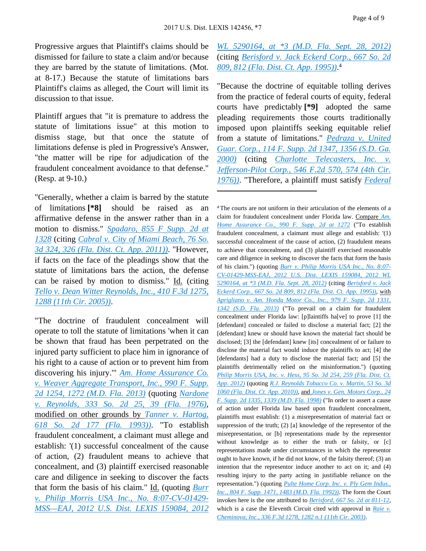Progressive argues that Plaintiff's claims should be dismissed for failure to state a claim and/or because they are barred by the statute of limitations. (Mot. at 8-17.) Because the statute of limitations bars Plaintiff's claims as alleged, the Court will limit its discussion to that issue.

Plaintiff argues that "it is premature to address the statute of limitations issue" at this motion to dismiss stage, but that once the statute of limitations defense is pled in Progressive's Answer, "the matter will be ripe for adjudication of the fraudulent concealment avoidance to that defense." (Resp. at 9-10.)

"Generally, whether a claim is barred by the statute of limitations **[\*8]** should be raised as an affirmative defense in the answer rather than in a motion to dismiss." *[Spadaro, 855 F Supp. 2d at](https://advance.lexis.comapi/document?collection=cases&id=urn:contentItem:552Y-D8P1-F04D-1337-00000-00&context=)  [1328](https://advance.lexis.comapi/document?collection=cases&id=urn:contentItem:552Y-D8P1-F04D-1337-00000-00&context=)* (citing *[Cabral v. City of Miami Beach, 76 So.](https://advance.lexis.comapi/document?collection=cases&id=urn:contentItem:83GY-J451-6562-C24B-00000-00&context=)  [3d 324, 326 \(Fla. Dist. Ct. App. 2011\)\)](https://advance.lexis.comapi/document?collection=cases&id=urn:contentItem:83GY-J451-6562-C24B-00000-00&context=)*. "However, if facts on the face of the pleadings show that the statute of limitations bars the action, the defense can be raised by motion to dismiss." Id. (citing *[Tello v. Dean Witter Reynolds, Inc., 410 F.3d 1275,](https://advance.lexis.comapi/document?collection=cases&id=urn:contentItem:4G9D-4W00-0038-X1T5-00000-00&context=)  [1288 \(11th Cir. 2005\)\)](https://advance.lexis.comapi/document?collection=cases&id=urn:contentItem:4G9D-4W00-0038-X1T5-00000-00&context=)*.

"The doctrine of fraudulent concealment will operate to toll the statute of limitations 'when it can be shown that fraud has been perpetrated on the injured party sufficient to place him in ignorance of his right to a cause of action or to prevent him from discovering his injury.'" *[Am. Home Assurance Co.](https://advance.lexis.comapi/document?collection=cases&id=urn:contentItem:5BN4-N071-F04D-145S-00000-00&context=)  [v. Weaver Aggregate Transport, Inc., 990 F. Supp.](https://advance.lexis.comapi/document?collection=cases&id=urn:contentItem:5BN4-N071-F04D-145S-00000-00&context=)  [2d 1254, 1272 \(M.D. Fla. 2013\)](https://advance.lexis.comapi/document?collection=cases&id=urn:contentItem:5BN4-N071-F04D-145S-00000-00&context=)* (quoting *[Nardone](https://advance.lexis.comapi/document?collection=cases&id=urn:contentItem:3RRM-5450-003C-X4GS-00000-00&context=)  [v. Reynolds, 333 So. 2d 25, 39 \(Fla. 1976\)](https://advance.lexis.comapi/document?collection=cases&id=urn:contentItem:3RRM-5450-003C-X4GS-00000-00&context=)*, modified on other grounds by *[Tanner v. Hartog,](https://advance.lexis.comapi/document?collection=cases&id=urn:contentItem:3RX4-1RF0-003F-30RX-00000-00&context=)  [618 So. 2d 177 \(Fla. 1993\)\)](https://advance.lexis.comapi/document?collection=cases&id=urn:contentItem:3RX4-1RF0-003F-30RX-00000-00&context=)*. "To establish fraudulent concealment, a claimant must allege and establish: '(1) successful concealment of the cause of action, (2) fraudulent means to achieve that concealment, and (3) plaintiff exercised reasonable care and diligence in seeking to discover the facts that form the basis of his claim." Id. (quoting *[Burr](https://advance.lexis.comapi/document?collection=cases&id=urn:contentItem:570G-X1J1-F04D-11NF-00000-00&context=)  [v. Philip Morris USA Inc., No. 8:07-CV-01429-](https://advance.lexis.comapi/document?collection=cases&id=urn:contentItem:570G-X1J1-F04D-11NF-00000-00&context=) [MSS—EAJ, 2012 U.S. Dist. LEXIS 159084, 2012](https://advance.lexis.comapi/document?collection=cases&id=urn:contentItem:570G-X1J1-F04D-11NF-00000-00&context=)* 

*[WL 5290164, at \\*3 \(M.D. Fla. Sept. 28, 2012\)](https://advance.lexis.comapi/document?collection=cases&id=urn:contentItem:570G-X1J1-F04D-11NF-00000-00&context=)* (citing *[Berisford v. Jack Eckerd Corp., 667 So. 2d](https://advance.lexis.comapi/document?collection=cases&id=urn:contentItem:3RX4-54T0-003F-3463-00000-00&context=)  [809, 812 \(Fla. Dist. Ct. App. 1995\)\)](https://advance.lexis.comapi/document?collection=cases&id=urn:contentItem:3RX4-54T0-003F-3463-00000-00&context=)*. 4

"Because the doctrine of equitable tolling derives from the practice of federal courts of equity, federal courts have predictably **[\*9]** adopted the same pleading requirements those courts traditionally imposed upon plaintiffs seeking equitable relief from a statute of limitations." *[Pedraza v. United](https://advance.lexis.comapi/document?collection=cases&id=urn:contentItem:40N6-N630-0038-Y168-00000-00&context=)  [Guar. Corp., 114 F. Supp. 2d 1347, 1356 \(S.D. Ga.](https://advance.lexis.comapi/document?collection=cases&id=urn:contentItem:40N6-N630-0038-Y168-00000-00&context=)  [2000\)](https://advance.lexis.comapi/document?collection=cases&id=urn:contentItem:40N6-N630-0038-Y168-00000-00&context=)* (citing *[Charlotte Telecasters, Inc. v.](https://advance.lexis.comapi/document?collection=cases&id=urn:contentItem:3S4X-1CY0-0039-M0RK-00000-00&context=)  [Jefferson-Pilot Corp., 546 F.2d 570, 574 \(4th Cir.](https://advance.lexis.comapi/document?collection=cases&id=urn:contentItem:3S4X-1CY0-0039-M0RK-00000-00&context=)  [1976\)\)](https://advance.lexis.comapi/document?collection=cases&id=urn:contentItem:3S4X-1CY0-0039-M0RK-00000-00&context=)*. "Therefore, a plaintiff must satisfy *[Federal](https://advance.lexis.comapi/document?collection=statutes-legislation&id=urn:contentItem:5GYC-1WP1-6N19-F0YN-00000-00&context=)* 

<sup>4</sup>The courts are not uniform in their articulation of the elements of a claim for fraudulent concealment under Florida law. Compare *[Am.](https://advance.lexis.comapi/document?collection=cases&id=urn:contentItem:5BN4-N071-F04D-145S-00000-00&context=)  [Home Assurance Co., 990 F. Supp. 2d at 1272](https://advance.lexis.comapi/document?collection=cases&id=urn:contentItem:5BN4-N071-F04D-145S-00000-00&context=)* ("To establish fraudulent concealment, a claimant must allege and establish: '(1) successful concealment of the cause of action, (2) fraudulent means to achieve that concealment, and (3) plaintiff exercised reasonable care and diligence in seeking to discover the facts that form the basis of his claim.") (quoting *[Burr v. Philip Morris USA Inc., No. 8:07-](https://advance.lexis.comapi/document?collection=cases&id=urn:contentItem:570G-X1J1-F04D-11NF-00000-00&context=) [CV-01429-MSS-EAJ, 2012 U.S. Dist. LEXIS 159084, 2012 WL](https://advance.lexis.comapi/document?collection=cases&id=urn:contentItem:570G-X1J1-F04D-11NF-00000-00&context=)  [5290164, at \\*3 \(M.D. Fla. Sept. 28, 2012\)](https://advance.lexis.comapi/document?collection=cases&id=urn:contentItem:570G-X1J1-F04D-11NF-00000-00&context=)* (citing *[Berisford v. Jack](https://advance.lexis.comapi/document?collection=cases&id=urn:contentItem:3RX4-54T0-003F-3463-00000-00&context=)  [Eckerd Corp., 667 So. 2d 809, 812 \(Fla. Dist. Ct. App. 1995\)\)](https://advance.lexis.comapi/document?collection=cases&id=urn:contentItem:3RX4-54T0-003F-3463-00000-00&context=)*, with *[Aprigliano v. Am. Honda Motor Co., Inc., 979 F. Supp. 2d 1331,](https://advance.lexis.comapi/document?collection=cases&id=urn:contentItem:59PF-DKP1-F04D-13CT-00000-00&context=)  [1342 \(S.D. Fla. 2013\)](https://advance.lexis.comapi/document?collection=cases&id=urn:contentItem:59PF-DKP1-F04D-13CT-00000-00&context=)* ("To prevail on a claim for fraudulent concealment under Florida law: [p]laintiffs ha[ve] to prove [1] the [defendant] concealed or failed to disclose a material fact; [2] the [defendant] knew or should have known the material fact should be disclosed; [3] the [defendant] knew [its] concealment of or failure to disclose the material fact would induce the plaintiffs to act; [4] the [defendants] had a duty to disclose the material fact; and [5] the plaintiffs detrimentally relied on the misinformation.") (quoting *[Philip Morris USA, Inc. v. Hess, 95 So. 3d 254, 259 \(Fla. Dist. Ct.](https://advance.lexis.comapi/document?collection=cases&id=urn:contentItem:55J7-4X31-F07Y-0090-00000-00&context=)  [App. 2012\)](https://advance.lexis.comapi/document?collection=cases&id=urn:contentItem:55J7-4X31-F07Y-0090-00000-00&context=)* (quoting *[R.J. Reynolds Tobacco Co. v. Martin, 53 So. 3d](https://advance.lexis.comapi/document?collection=cases&id=urn:contentItem:51PJ-5291-6562-9004-00000-00&context=)  [1060 \(Fla. Dist. Ct. App. 2010\)\)](https://advance.lexis.comapi/document?collection=cases&id=urn:contentItem:51PJ-5291-6562-9004-00000-00&context=)*, and *[Jones v. Gen. Motors Corp., 24](https://advance.lexis.comapi/document?collection=cases&id=urn:contentItem:3VMM-V4H0-0038-Y4TR-00000-00&context=)  [F. Supp. 2d 1335, 1339 \(M.D. Fla. 1998\)](https://advance.lexis.comapi/document?collection=cases&id=urn:contentItem:3VMM-V4H0-0038-Y4TR-00000-00&context=)* ("In order to assert a cause of action under Florida law based upon fraudulent concealment, plaintiffs must establish: (1) a misrepresentation of material fact or suppression of the truth; (2) [a] knowledge of the representor of the misrepresentation, or [b] representations made by the representor without knowledge as to either the truth or falsity, or [c] representations made under circumstances in which the representor ought to have known, if he did not know, of the falsity thereof; (3) an intention that the representor induce another to act on it; and (4) resulting injury to the party acting in justifiable reliance on the representation.") (quoting *[Pulte Home Corp. Inc. v. Ply Gem Indus.,](https://advance.lexis.comapi/document?collection=cases&id=urn:contentItem:3S4N-GGP0-008H-F2CT-00000-00&context=)  [Inc., 804 F. Supp. 1471, 1483 \(M.D. Fla. 1992\)\)](https://advance.lexis.comapi/document?collection=cases&id=urn:contentItem:3S4N-GGP0-008H-F2CT-00000-00&context=)*. The form the Court invokes here is the one attributed to *[Berisford, 667 So. 2d at 811-12](https://advance.lexis.comapi/document?collection=cases&id=urn:contentItem:3RX4-54T0-003F-3463-00000-00&context=)*, which is a case the Eleventh Circuit cited with approval in *[Raie v.](https://advance.lexis.comapi/document?collection=cases&id=urn:contentItem:491K-C1X0-0038-X0Y2-00000-00&context=)  [Cheminova, Inc., 336 F.3d 1278, 1282 n.1 \(11th Cir. 2003\)](https://advance.lexis.comapi/document?collection=cases&id=urn:contentItem:491K-C1X0-0038-X0Y2-00000-00&context=)*.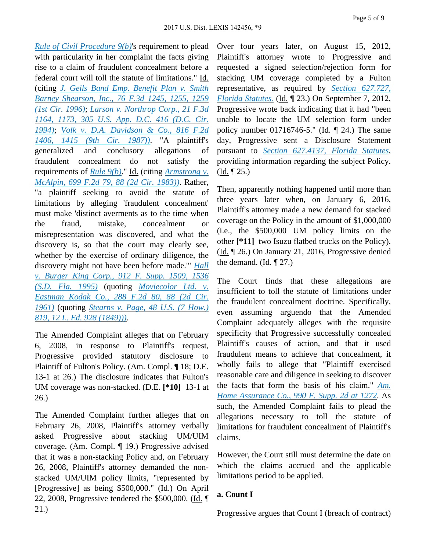*[Rule of Civil Procedure 9\(b\)](https://advance.lexis.comapi/document?collection=statutes-legislation&id=urn:contentItem:5GYC-1WP1-6N19-F0YN-00000-00&context=)*'s requirement to plead with particularity in her complaint the facts giving rise to a claim of fraudulent concealment before a federal court will toll the statute of limitations." Id. (citing *[J. Geils Band Emp. Benefit Plan v. Smith](https://advance.lexis.comapi/document?collection=cases&id=urn:contentItem:3S4X-4580-006F-M2GB-00000-00&context=)  [Barney Shearson, Inc., 76 F.3d 1245, 1255, 1259](https://advance.lexis.comapi/document?collection=cases&id=urn:contentItem:3S4X-4580-006F-M2GB-00000-00&context=)  [\(1st Cir. 1996\)](https://advance.lexis.comapi/document?collection=cases&id=urn:contentItem:3S4X-4580-006F-M2GB-00000-00&context=)*; *[Larson v. Northrop Corp., 21 F.3d](https://advance.lexis.comapi/document?collection=cases&id=urn:contentItem:3S4X-6DM0-003B-P1D9-00000-00&context=)  [1164, 1173, 305 U.S. App. D.C. 416 \(D.C. Cir.](https://advance.lexis.comapi/document?collection=cases&id=urn:contentItem:3S4X-6DM0-003B-P1D9-00000-00&context=)  [1994\)](https://advance.lexis.comapi/document?collection=cases&id=urn:contentItem:3S4X-6DM0-003B-P1D9-00000-00&context=)*; *[Volk v. D.A. Davidson & Co., 816 F.2d](https://advance.lexis.comapi/document?collection=cases&id=urn:contentItem:3S4X-B2H0-001B-K075-00000-00&context=)  [1406, 1415 \(9th Cir. 1987\)\)](https://advance.lexis.comapi/document?collection=cases&id=urn:contentItem:3S4X-B2H0-001B-K075-00000-00&context=)*. "A plaintiff's generalized and conclusory allegations of fraudulent concealment do not satisfy the requirements of *[Rule 9\(b\)](https://advance.lexis.comapi/document?collection=statutes-legislation&id=urn:contentItem:5GYC-1WP1-6N19-F0YN-00000-00&context=)*." Id. (citing *[Armstrong v.](https://advance.lexis.comapi/document?collection=cases&id=urn:contentItem:3S4X-0TF0-003B-G429-00000-00&context=)  [McAlpin, 699 F.2d 79, 88 \(2d Cir. 1983\)\)](https://advance.lexis.comapi/document?collection=cases&id=urn:contentItem:3S4X-0TF0-003B-G429-00000-00&context=)*. Rather, "a plaintiff seeking to avoid the statute of limitations by alleging 'fraudulent concealment' must make 'distinct averments as to the time when the fraud, mistake, concealment or misrepresentation was discovered, and what the discovery is, so that the court may clearly see, whether by the exercise of ordinary diligence, the discovery might not have been before made.'" *[Hall](https://advance.lexis.comapi/document?collection=cases&id=urn:contentItem:3S4N-7WW0-001T-5444-00000-00&context=)  [v. Burger King Corp., 912 F. Supp. 1509, 1536](https://advance.lexis.comapi/document?collection=cases&id=urn:contentItem:3S4N-7WW0-001T-5444-00000-00&context=)  [\(S.D. Fla. 1995\)](https://advance.lexis.comapi/document?collection=cases&id=urn:contentItem:3S4N-7WW0-001T-5444-00000-00&context=)* (quoting *[Moviecolor Ltd. v.](https://advance.lexis.comapi/document?collection=cases&id=urn:contentItem:3S4X-4V20-0039-Y07P-00000-00&context=)  [Eastman Kodak Co., 288 F.2d 80, 88 \(2d Cir.](https://advance.lexis.comapi/document?collection=cases&id=urn:contentItem:3S4X-4V20-0039-Y07P-00000-00&context=)  [1961\)](https://advance.lexis.comapi/document?collection=cases&id=urn:contentItem:3S4X-4V20-0039-Y07P-00000-00&context=)* (quoting *[Stearns v. Page, 48 U.S. \(7 How.\)](https://advance.lexis.comapi/document?collection=cases&id=urn:contentItem:3S4X-K8R0-003B-H451-00000-00&context=)  [819, 12 L. Ed. 928 \(1849\)\)\)](https://advance.lexis.comapi/document?collection=cases&id=urn:contentItem:3S4X-K8R0-003B-H451-00000-00&context=)*.

The Amended Complaint alleges that on February 6, 2008, in response to Plaintiff's request, Progressive provided statutory disclosure to Plaintiff of Fulton's Policy. (Am. Compl. ¶ 18; D.E. 13-1 at 26.) The disclosure indicates that Fulton's UM coverage was non-stacked. (D.E. **[\*10]** 13-1 at 26.)

The Amended Complaint further alleges that on February 26, 2008, Plaintiff's attorney verbally asked Progressive about stacking UM/UIM coverage. (Am. Compl. ¶ 19.) Progressive advised that it was a non-stacking Policy and, on February 26, 2008, Plaintiff's attorney demanded the nonstacked UM/UIM policy limits, "represented by [Progressive] as being \$500,000." (Id.) On April 22, 2008, Progressive tendered the  $$500,000$ . (Id.  $\P$ 21.)

Over four years later, on August 15, 2012, Plaintiff's attorney wrote to Progressive and requested a signed selection/rejection form for stacking UM coverage completed by a Fulton representative, as required by *[Section 627.727,](https://advance.lexis.comapi/document?collection=statutes-legislation&id=urn:contentItem:5G3D-DWY1-DXC8-03CG-00000-00&context=)  [Florida Statutes.](https://advance.lexis.comapi/document?collection=statutes-legislation&id=urn:contentItem:5G3D-DWY1-DXC8-03CG-00000-00&context=)* (Id. ¶ 23.) On September 7, 2012, Progressive wrote back indicating that it had "been unable to locate the UM selection form under policy number 01716746-5." (Id. ¶ 24.) The same day, Progressive sent a Disclosure Statement pursuant to *[Section 627.4137, Florida Statutes](https://advance.lexis.comapi/document?collection=statutes-legislation&id=urn:contentItem:5C24-MM11-6SKW-D4N6-00000-00&context=)*, providing information regarding the subject Policy. (Id. ¶ 25.)

Then, apparently nothing happened until more than three years later when, on January 6, 2016, Plaintiff's attorney made a new demand for stacked coverage on the Policy in the amount of \$1,000,000 (i.e., the \$500,000 UM policy limits on the other **[\*11]** two Isuzu flatbed trucks on the Policy). (Id. ¶ 26.) On January 21, 2016, Progressive denied the demand.  $(\underline{Id}, \P 27)$ 

The Court finds that these allegations are insufficient to toll the statute of limitations under the fraudulent concealment doctrine. Specifically, even assuming arguendo that the Amended Complaint adequately alleges with the requisite specificity that Progressive successfully concealed Plaintiff's causes of action, and that it used fraudulent means to achieve that concealment, it wholly fails to allege that "Plaintiff exercised reasonable care and diligence in seeking to discover the facts that form the basis of his claim." *[Am.](https://advance.lexis.comapi/document?collection=cases&id=urn:contentItem:5BN4-N071-F04D-145S-00000-00&context=)  [Home Assurance Co., 990 F. Supp. 2d at 1272](https://advance.lexis.comapi/document?collection=cases&id=urn:contentItem:5BN4-N071-F04D-145S-00000-00&context=)*. As such, the Amended Complaint fails to plead the allegations necessary to toll the statute of limitations for fraudulent concealment of Plaintiff's claims.

However, the Court still must determine the date on which the claims accrued and the applicable limitations period to be applied.

#### **a. Count I**

Progressive argues that Count I (breach of contract)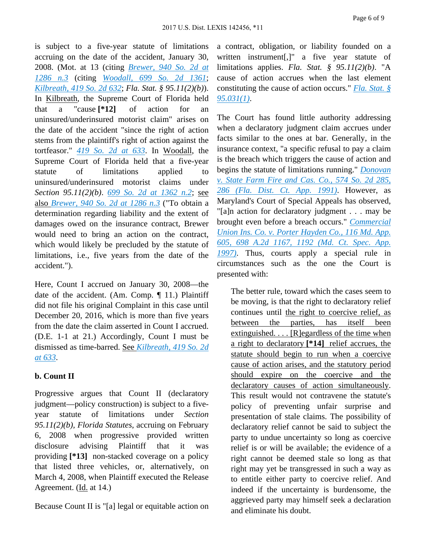is subject to a five-year statute of limitations accruing on the date of the accident, January 30, 2008. (Mot. at 13 (citing *[Brewer, 940 So. 2d at](https://advance.lexis.comapi/document?collection=cases&id=urn:contentItem:4M9H-V7C0-0039-4495-00000-00&context=)  [1286 n.3](https://advance.lexis.comapi/document?collection=cases&id=urn:contentItem:4M9H-V7C0-0039-4495-00000-00&context=)* (citing *[Woodall, 699 So. 2d 1361](https://advance.lexis.comapi/document?collection=cases&id=urn:contentItem:3RT0-WMH0-0039-40FK-00000-00&context=)*; *[Kilbreath, 419 So. 2d 632](https://advance.lexis.comapi/document?collection=cases&id=urn:contentItem:3RRM-2TJ0-003C-X55V-00000-00&context=)*; *Fla. Stat. § 95.11(2)(b)*). In Kilbreath, the Supreme Court of Florida held that a "cause **[\*12]** of action for an uninsured/underinsured motorist claim" arises on the date of the accident "since the right of action stems from the plaintiff's right of action against the tortfeasor." *[419 So. 2d at 633](https://advance.lexis.comapi/document?collection=cases&id=urn:contentItem:3RRM-2TJ0-003C-X55V-00000-00&context=)*. In Woodall, the Supreme Court of Florida held that a five-year statute of limitations applied to uninsured/underinsured motorist claims under *Section 95.11(2)(b)*. *[699 So. 2d at 1362 n.2](https://advance.lexis.comapi/document?collection=cases&id=urn:contentItem:3RT0-WMH0-0039-40FK-00000-00&context=)*; see also *[Brewer, 940 So. 2d at 1286 n.3](https://advance.lexis.comapi/document?collection=cases&id=urn:contentItem:4M9H-V7C0-0039-4495-00000-00&context=)* ("To obtain a determination regarding liability and the extent of damages owed on the insurance contract, Brewer would need to bring an action on the contract, which would likely be precluded by the statute of limitations, i.e., five years from the date of the accident.").

Here, Count I accrued on January 30, 2008—the date of the accident. (Am. Comp. ¶ 11.) Plaintiff did not file his original Complaint in this case until December 20, 2016, which is more than five years from the date the claim asserted in Count I accrued. (D.E. 1-1 at 21.) Accordingly, Count I must be dismissed as time-barred. See *[Kilbreath, 419 So. 2d](https://advance.lexis.comapi/document?collection=cases&id=urn:contentItem:3RRM-2TJ0-003C-X55V-00000-00&context=)  [at 633](https://advance.lexis.comapi/document?collection=cases&id=urn:contentItem:3RRM-2TJ0-003C-X55V-00000-00&context=)*.

## **b. Count II**

Progressive argues that Count II (declaratory judgment—policy construction) is subject to a fiveyear statute of limitations under *Section 95.11(2)(b), Florida Statutes*, accruing on February 6, 2008 when progressive provided written disclosure advising Plaintiff that it was providing **[\*13]** non-stacked coverage on a policy that listed three vehicles, or, alternatively, on March 4, 2008, when Plaintiff executed the Release Agreement. (Id. at 14.)

Because Count II is "[a] legal or equitable action on

a contract, obligation, or liability founded on a written instrument[,]" a five year statute of limitations applies. *Fla. Stat. § 95.11(2)(b)*. "A cause of action accrues when the last element constituting the cause of action occurs." *[Fla. Stat. §](https://advance.lexis.comapi/document?collection=statutes-legislation&id=urn:contentItem:5C24-M621-6SKW-D4NV-00000-00&context=)  [95.031\(1\)](https://advance.lexis.comapi/document?collection=statutes-legislation&id=urn:contentItem:5C24-M621-6SKW-D4NV-00000-00&context=)*.

The Court has found little authority addressing when a declaratory judgment claim accrues under facts similar to the ones at bar. Generally, in the insurance context, "a specific refusal to pay a claim is the breach which triggers the cause of action and begins the statute of limitations running." *[Donovan](https://advance.lexis.comapi/document?collection=cases&id=urn:contentItem:3RX4-C4M0-003F-342X-00000-00&context=)  [v. State Farm Fire and Cas. Co., 574 So. 2d 285,](https://advance.lexis.comapi/document?collection=cases&id=urn:contentItem:3RX4-C4M0-003F-342X-00000-00&context=)  [286 \(Fla. Dist. Ct. App. 1991\)](https://advance.lexis.comapi/document?collection=cases&id=urn:contentItem:3RX4-C4M0-003F-342X-00000-00&context=)*. However, as Maryland's Court of Special Appeals has observed, "[a]n action for declaratory judgment . . . may be brought even before a breach occurs." *[Commercial](https://advance.lexis.comapi/document?collection=cases&id=urn:contentItem:3RH0-01T0-0039-44DY-00000-00&context=)  [Union Ins. Co. v. Porter Hayden Co., 116 Md. App.](https://advance.lexis.comapi/document?collection=cases&id=urn:contentItem:3RH0-01T0-0039-44DY-00000-00&context=)  [605, 698 A.2d 1167, 1192 \(Md. Ct. Spec. App.](https://advance.lexis.comapi/document?collection=cases&id=urn:contentItem:3RH0-01T0-0039-44DY-00000-00&context=)  [1997\)](https://advance.lexis.comapi/document?collection=cases&id=urn:contentItem:3RH0-01T0-0039-44DY-00000-00&context=)*. Thus, courts apply a special rule in circumstances such as the one the Court is presented with:

The better rule, toward which the cases seem to be moving, is that the right to declaratory relief continues until the right to coercive relief, as between the parties, has itself been extinguished. . . . [R]egardless of the time when a right to declaratory **[\*14]** relief accrues, the statute should begin to run when a coercive cause of action arises, and the statutory period should expire on the coercive and the declaratory causes of action simultaneously. This result would not contravene the statute's policy of preventing unfair surprise and presentation of stale claims. The possibility of declaratory relief cannot be said to subject the party to undue uncertainty so long as coercive relief is or will be available; the evidence of a right cannot be deemed stale so long as that right may yet be transgressed in such a way as to entitle either party to coercive relief. And indeed if the uncertainty is burdensome, the aggrieved party may himself seek a declaration and eliminate his doubt.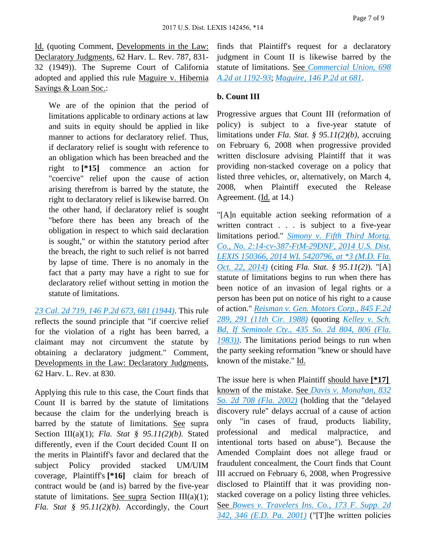Id. (quoting Comment, Developments in the Law: Declaratory Judgments, 62 Harv. L. Rev. 787, 831- 32 (1949)). The Supreme Court of California adopted and applied this rule Maguire v. Hibernia Savings & Loan Soc.:

We are of the opinion that the period of limitations applicable to ordinary actions at law and suits in equity should be applied in like manner to actions for declaratory relief. Thus, if declaratory relief is sought with reference to an obligation which has been breached and the right to **[\*15]** commence an action for "coercive" relief upon the cause of action arising therefrom is barred by the statute, the right to declaratory relief is likewise barred. On the other hand, if declaratory relief is sought "before there has been any breach of the obligation in respect to which said declaration is sought," or within the statutory period after the breach, the right to such relief is not barred by lapse of time. There is no anomaly in the fact that a party may have a right to sue for declaratory relief without setting in motion the statute of limitations.

*[23 Cal. 2d 719, 146 P.2d 673, 681 \(1944\)](https://advance.lexis.comapi/document?collection=cases&id=urn:contentItem:3RRS-8YN0-003D-W05J-00000-00&context=)*. This rule reflects the sound principle that "if coercive relief for the violation of a right has been barred, a claimant may not circumvent the statute by obtaining a declaratory judgment." Comment, Developments in the Law: Declaratory Judgments, 62 Harv. L. Rev. at 830.

Applying this rule to this case, the Court finds that Count II is barred by the statute of limitations because the claim for the underlying breach is barred by the statute of limitations. See supra Section III(a)(1); *Fla. Stat § 95.11(2)(b)*. Stated differently, even if the Court decided Count II on the merits in Plaintiff's favor and declared that the subject Policy provided stacked UM/UIM coverage, Plaintiff's **[\*16]** claim for breach of contract would be (and is) barred by the five-year statute of limitations. See supra Section III(a)(1); *Fla. Stat § 95.11(2)(b)*. Accordingly, the Court finds that Plaintiff's request for a declaratory judgment in Count II is likewise barred by the statute of limitations. See *[Commercial Union, 698](https://advance.lexis.comapi/document?collection=cases&id=urn:contentItem:3RH0-01T0-0039-44DY-00000-00&context=)  [A.2d at 1192-93](https://advance.lexis.comapi/document?collection=cases&id=urn:contentItem:3RH0-01T0-0039-44DY-00000-00&context=)*; *[Maguire, 146 P.2d at 681](https://advance.lexis.comapi/document?collection=cases&id=urn:contentItem:3RRS-8YN0-003D-W05J-00000-00&context=)*.

#### **b. Count III**

Progressive argues that Count III (reformation of policy) is subject to a five-year statute of limitations under *Fla. Stat. § 95.11(2)(b)*, accruing on February 6, 2008 when progressive provided written disclosure advising Plaintiff that it was providing non-stacked coverage on a policy that listed three vehicles, or, alternatively, on March 4, 2008, when Plaintiff executed the Release Agreement. (Id. at 14.)

"[A]n equitable action seeking reformation of a written contract . . . is subject to a five-year limitations period." *[Simony v. Fifth Third Mortg.](https://advance.lexis.comapi/document?collection=cases&id=urn:contentItem:5DDX-DTF1-F04D-14CY-00000-00&context=)  [Co., No. 2:14-cv-387-FtM-29DNF, 2014 U.S. Dist.](https://advance.lexis.comapi/document?collection=cases&id=urn:contentItem:5DDX-DTF1-F04D-14CY-00000-00&context=)  [LEXIS 150366, 2014 WL 5420796, at \\*3 \(M.D. Fla.](https://advance.lexis.comapi/document?collection=cases&id=urn:contentItem:5DDX-DTF1-F04D-14CY-00000-00&context=)  [Oct. 22, 2014\)](https://advance.lexis.comapi/document?collection=cases&id=urn:contentItem:5DDX-DTF1-F04D-14CY-00000-00&context=)* (citing *Fla. Stat. § 95.11(2)*). "[A] statute of limitations begins to run when there has been notice of an invasion of legal rights or a person has been put on notice of his right to a cause of action." *[Reisman v. Gen. Motors Corp., 845 F.2d](https://advance.lexis.comapi/document?collection=cases&id=urn:contentItem:3S4X-1110-001B-K45V-00000-00&context=)  [289, 291 \(11th Cir. 1988\)](https://advance.lexis.comapi/document?collection=cases&id=urn:contentItem:3S4X-1110-001B-K45V-00000-00&context=)* (quoting *[Kelley v. Sch.](https://advance.lexis.comapi/document?collection=cases&id=urn:contentItem:3RRM-2NG0-003C-X424-00000-00&context=)  [Bd, If Seminole Cty., 435 So. 2d 804, 806 \(Fla.](https://advance.lexis.comapi/document?collection=cases&id=urn:contentItem:3RRM-2NG0-003C-X424-00000-00&context=)  [1983\)\)](https://advance.lexis.comapi/document?collection=cases&id=urn:contentItem:3RRM-2NG0-003C-X424-00000-00&context=)*. The limitations period beings to run when the party seeking reformation "knew or should have known of the mistake." Id.

The issue here is when Plaintiff should have **[\*17]**  known of the mistake. See *[Davis v. Monahan, 832](https://advance.lexis.comapi/document?collection=cases&id=urn:contentItem:475J-J020-0039-4531-00000-00&context=)  [So. 2d 708 \(Fla. 2002\)](https://advance.lexis.comapi/document?collection=cases&id=urn:contentItem:475J-J020-0039-4531-00000-00&context=)* (holding that the "delayed discovery rule" delays accrual of a cause of action only "in cases of fraud, products liability, professional and medical malpractice, and intentional torts based on abuse"). Because the Amended Complaint does not allege fraud or fraudulent concealment, the Court finds that Count III accrued on February 6, 2008, when Progressive disclosed to Plaintiff that it was providing nonstacked coverage on a policy listing three vehicles. See *[Bowes v. Travelers Ins. Co., 173 F. Supp. 2d](https://advance.lexis.comapi/document?collection=cases&id=urn:contentItem:44TV-PDW0-0038-Y0W8-00000-00&context=)  [342, 346 \(E.D. Pa. 2001\)](https://advance.lexis.comapi/document?collection=cases&id=urn:contentItem:44TV-PDW0-0038-Y0W8-00000-00&context=)* ("[T]he written policies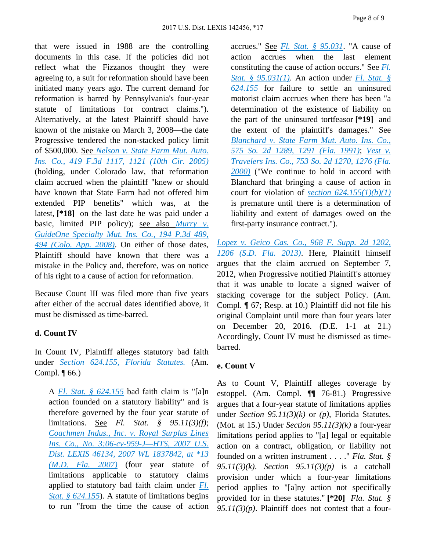that were issued in 1988 are the controlling documents in this case. If the policies did not reflect what the Fizzanos thought they were agreeing to, a suit for reformation should have been initiated many years ago. The current demand for reformation is barred by Pennsylvania's four-year statute of limitations for contract claims."). Alternatively, at the latest Plaintiff should have known of the mistake on March 3, 2008—the date Progressive tendered the non-stacked policy limit of \$500,000. See *[Nelson v. State Farm Mut. Auto.](https://advance.lexis.comapi/document?collection=cases&id=urn:contentItem:4GWT-X2B0-0038-X29W-00000-00&context=)  [Ins. Co., 419 F.3d 1117, 1121 \(10th Cir. 2005\)](https://advance.lexis.comapi/document?collection=cases&id=urn:contentItem:4GWT-X2B0-0038-X29W-00000-00&context=)* (holding, under Colorado law, that reformation claim accrued when the plaintiff "knew or should have known that State Farm had not offered him extended PIP benefits" which was, at the latest, **[\*18]** on the last date he was paid under a basic, limited PIP policy); see also *[Murry v.](https://advance.lexis.comapi/document?collection=cases&id=urn:contentItem:4TPH-4PJ0-TX4N-G08G-00000-00&context=)  [GuideOne Specialty Mut. Ins. Co., 194 P.3d 489,](https://advance.lexis.comapi/document?collection=cases&id=urn:contentItem:4TPH-4PJ0-TX4N-G08G-00000-00&context=)  [494 \(Colo. App. 2008\)](https://advance.lexis.comapi/document?collection=cases&id=urn:contentItem:4TPH-4PJ0-TX4N-G08G-00000-00&context=)*. On either of those dates, Plaintiff should have known that there was a mistake in the Policy and, therefore, was on notice of his right to a cause of action for reformation.

Because Count III was filed more than five years after either of the accrual dates identified above, it must be dismissed as time-barred.

#### **d. Count IV**

In Count IV, Plaintiff alleges statutory bad faith under *[Section 624.155, Florida Statutes.](https://advance.lexis.comapi/document?collection=statutes-legislation&id=urn:contentItem:5C24-MM01-6SKW-D506-00000-00&context=)* (Am. Compl. ¶ 66.)

A *[Fl. Stat. § 624.155](https://advance.lexis.comapi/document?collection=statutes-legislation&id=urn:contentItem:5C24-MM01-6SKW-D506-00000-00&context=)* bad faith claim is "[a]n action founded on a statutory liability" and is therefore governed by the four year statute of limitations. See *Fl. Stat. § 95.11(3)(f)*; *[Coachmen Indus., Inc. v. Royal Surplus Lines](https://advance.lexis.comapi/document?collection=cases&id=urn:contentItem:4P2J-RNC0-TXFP-K2HY-00000-00&context=)  [Ins. Co., No. 3:06-cv-959-J—HTS, 2007 U.S.](https://advance.lexis.comapi/document?collection=cases&id=urn:contentItem:4P2J-RNC0-TXFP-K2HY-00000-00&context=)  [Dist. LEXIS 46134, 2007 WL 1837842, at \\*13](https://advance.lexis.comapi/document?collection=cases&id=urn:contentItem:4P2J-RNC0-TXFP-K2HY-00000-00&context=)  [\(M.D. Fla. 2007\)](https://advance.lexis.comapi/document?collection=cases&id=urn:contentItem:4P2J-RNC0-TXFP-K2HY-00000-00&context=)* (four year statute of limitations applicable to statutory claims applied to statutory bad faith claim under *[Fl.](https://advance.lexis.comapi/document?collection=statutes-legislation&id=urn:contentItem:5C24-MM01-6SKW-D506-00000-00&context=)  [Stat. § 624.155](https://advance.lexis.comapi/document?collection=statutes-legislation&id=urn:contentItem:5C24-MM01-6SKW-D506-00000-00&context=)*). A statute of limitations begins to run "from the time the cause of action

accrues." See *[Fl. Stat. § 95.031](https://advance.lexis.comapi/document?collection=statutes-legislation&id=urn:contentItem:5C24-M621-6SKW-D4NV-00000-00&context=)*. "A cause of action accrues when the last element constituting the cause of action occurs." See *[Fl.](https://advance.lexis.comapi/document?collection=statutes-legislation&id=urn:contentItem:5C24-M621-6SKW-D4NV-00000-00&context=)  [Stat. § 95.031\(1\)](https://advance.lexis.comapi/document?collection=statutes-legislation&id=urn:contentItem:5C24-M621-6SKW-D4NV-00000-00&context=)*. An action under *[Fl. Stat. §](https://advance.lexis.comapi/document?collection=statutes-legislation&id=urn:contentItem:5C24-MM01-6SKW-D506-00000-00&context=)  [624.155](https://advance.lexis.comapi/document?collection=statutes-legislation&id=urn:contentItem:5C24-MM01-6SKW-D506-00000-00&context=)* for failure to settle an uninsured motorist claim accrues when there has been "a determination of the existence of liability on the part of the uninsured tortfeasor **[\*19]** and the extent of the plaintiff's damages." See *[Blanchard v. State Farm Mut. Auto. Ins. Co.,](https://advance.lexis.comapi/document?collection=cases&id=urn:contentItem:3RX4-24M0-003F-30XH-00000-00&context=)  [575 So. 2d 1289, 1291 \(Fla. 1991\)](https://advance.lexis.comapi/document?collection=cases&id=urn:contentItem:3RX4-24M0-003F-30XH-00000-00&context=)*; *[Vest v.](https://advance.lexis.comapi/document?collection=cases&id=urn:contentItem:3YW3-F4P0-0039-424W-00000-00&context=)  [Travelers Ins. Co., 753 So. 2d 1270, 1276 \(Fla.](https://advance.lexis.comapi/document?collection=cases&id=urn:contentItem:3YW3-F4P0-0039-424W-00000-00&context=)  [2000\)](https://advance.lexis.comapi/document?collection=cases&id=urn:contentItem:3YW3-F4P0-0039-424W-00000-00&context=)* ("We continue to hold in accord with Blanchard that bringing a cause of action in court for violation of *[section 624.155\(1\)\(b\)\(1\)](https://advance.lexis.comapi/document?collection=statutes-legislation&id=urn:contentItem:5C24-MM01-6SKW-D506-00000-00&context=)* is premature until there is a determination of liability and extent of damages owed on the first-party insurance contract.").

*[Lopez v. Geico Cas. Co., 968 F. Supp. 2d 1202,](https://advance.lexis.comapi/document?collection=cases&id=urn:contentItem:59CD-NP41-F04D-115N-00000-00&context=)  [1206 \(S.D. Fla. 2013\)](https://advance.lexis.comapi/document?collection=cases&id=urn:contentItem:59CD-NP41-F04D-115N-00000-00&context=)*. Here, Plaintiff himself argues that the claim accrued on September 7, 2012, when Progressive notified Plaintiff's attorney that it was unable to locate a signed waiver of stacking coverage for the subject Policy. (Am. Compl. ¶ 67; Resp. at 10.) Plaintiff did not file his original Complaint until more than four years later on December 20, 2016. (D.E. 1-1 at 21.) Accordingly, Count IV must be dismissed as timebarred.

#### **e. Count V**

As to Count V, Plaintiff alleges coverage by estoppel. (Am. Compl. ¶¶ 76-81.) Progressive argues that a four-year statute of limitations applies under *Section 95.11(3)(k)* or *(p)*, Florida Statutes. (Mot. at 15.) Under *Section 95.11(3)(k)* a four-year limitations period applies to "[a] legal or equitable action on a contract, obligation, or liability not founded on a written instrument . . . ." *Fla. Stat. § 95.11(3)(k)*. *Section 95.11(3)(p)* is a catchall provision under which a four-year limitations period applies to "[a]ny action not specifically provided for in these statutes." **[\*20]** *Fla. Stat. §*   $95.11(3)(p)$ . Plaintiff does not contest that a four